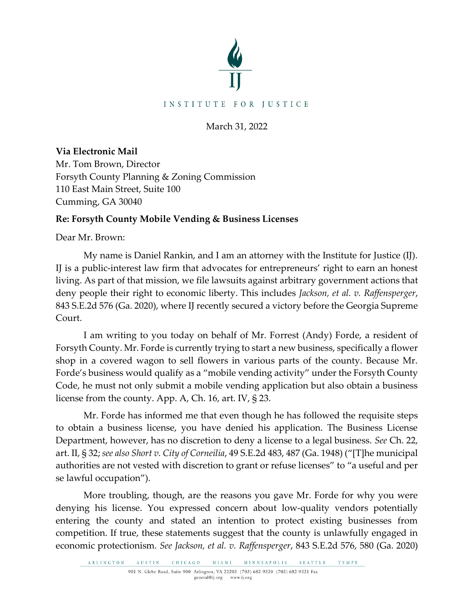

March 31, 2022

**Via Electronic Mail**  Mr. Tom Brown, Director Forsyth County Planning & Zoning Commission 110 East Main Street, Suite 100 Cumming, GA 30040

## **Re: Forsyth County Mobile Vending & Business Licenses**

Dear Mr. Brown:

My name is Daniel Rankin, and I am an attorney with the Institute for Justice (IJ). IJ is a public-interest law firm that advocates for entrepreneurs' right to earn an honest living. As part of that mission, we file lawsuits against arbitrary government actions that deny people their right to economic liberty. This includes *Jackson, et al. v. Raffensperger*, 843 S.E.2d 576 (Ga. 2020), where IJ recently secured a victory before the Georgia Supreme Court.

I am writing to you today on behalf of Mr. Forrest (Andy) Forde, a resident of Forsyth County. Mr. Forde is currently trying to start a new business, specifically a flower shop in a covered wagon to sell flowers in various parts of the county. Because Mr. Forde's business would qualify as a "mobile vending activity" under the Forsyth County Code, he must not only submit a mobile vending application but also obtain a business license from the county. App. A, Ch. 16, art. IV, § 23.

Mr. Forde has informed me that even though he has followed the requisite steps to obtain a business license, you have denied his application. The Business License Department, however, has no discretion to deny a license to a legal business. *See* Ch. 22, art. II, § 32; *see also Short v. City of Corneilia*, 49 S.E.2d 483, 487 (Ga. 1948) ("[T]he municipal authorities are not vested with discretion to grant or refuse licenses" to "a useful and per se lawful occupation").

More troubling, though, are the reasons you gave Mr. Forde for why you were denying his license. You expressed concern about low-quality vendors potentially entering the county and stated an intention to protect existing businesses from competition. If true, these statements suggest that the county is unlawfully engaged in economic protectionism. *See Jackson, et al. v. Raffensperger*, 843 S.E.2d 576, 580 (Ga. 2020)